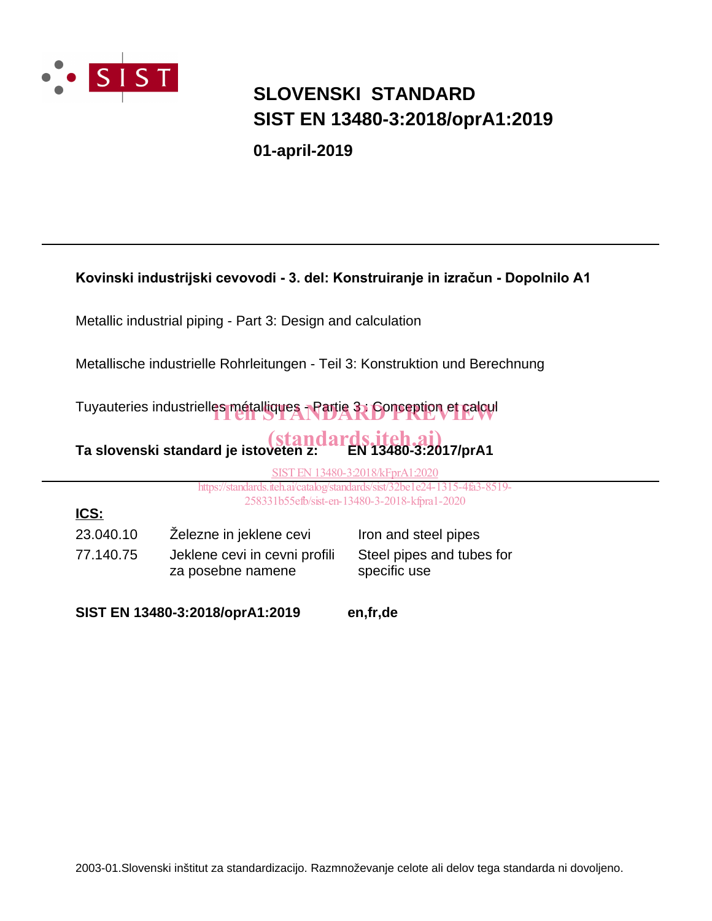

# **SIST EN 13480-3:2018/oprA1:2019 SLOVENSKI STANDARD**

**01-april-2019**

#### Kovinski industrijski cevovodi - 3. del: Konstruiranje in izračun - Dopolnilo A1

Metallic industrial piping - Part 3: Design and calculation

Metallische industrielle Rohrleitungen - Teil 3: Konstruktion und Berechnung

Tuyauteries industrielles métalliques - Partie 3, Conception et calcul

# **Ta slovenski standard je istoveten z: (standards.iteh.ai)**<br>Ta slovenski standard je istoveten z: (EN 13480-3:2017/prA1

SIST EN 13480-3:2018/kFprA1:2020

https://standards.iteh.ai/catalog/standards/sist/32be1e24-1315-4fa3-8519- 258331b55efb/sist-en-13480-3-2018-kfpra1-2020

77.140.75 Jeklene cevi in cevni profili za posebne namene 23.040.10 Železne in jeklene cevi Iron and steel pipes **ICS:**

Steel pipes and tubes for specific use

**SIST EN 13480-3:2018/oprA1:2019 en,fr,de**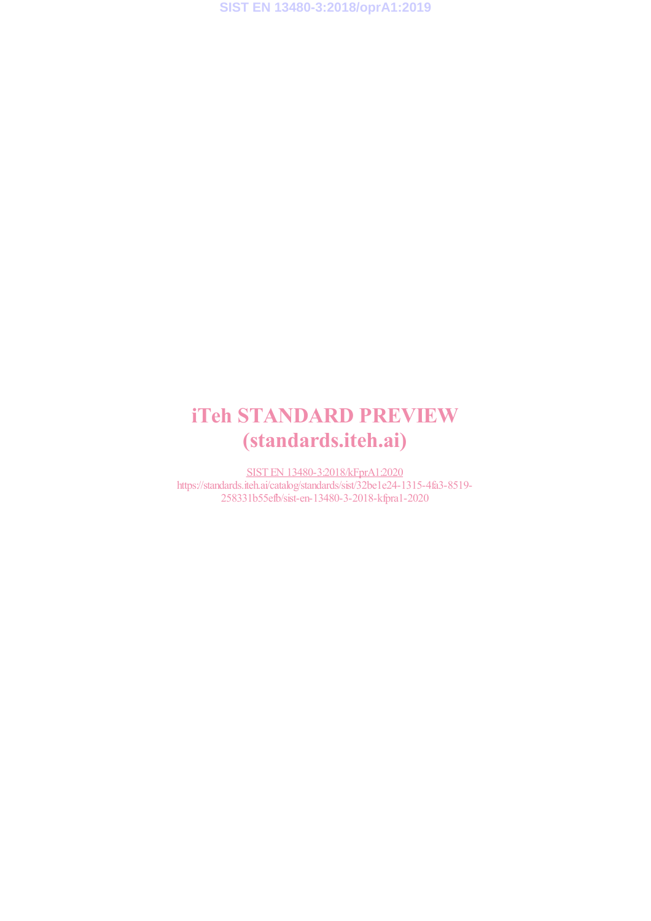**SIST EN 13480-3:2018/oprA1:2019**

# iTeh STANDARD PREVIEW (standards.iteh.ai)

SIST EN 13480-3:2018/kFprA1:2020 https://standards.iteh.ai/catalog/standards/sist/32be1e24-1315-4fa3-8519- 258331b55efb/sist-en-13480-3-2018-kfpra1-2020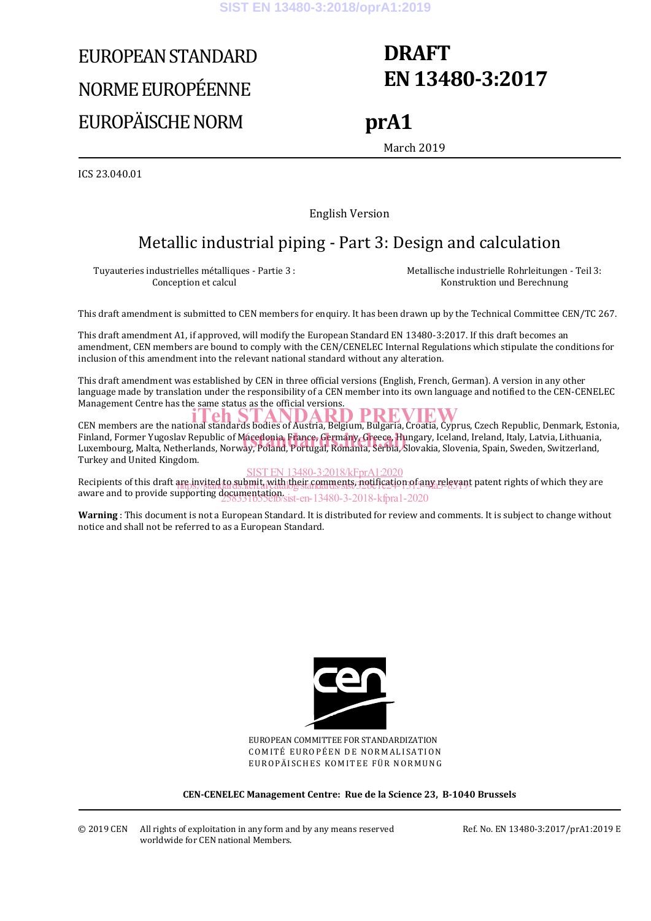# EUROPEAN STANDARD NORME EUROPÉENNE EUROPÄISCHE NORM

# **DRAFT EN 13480-3:2017**

## **prA1**

March 2019

ICS 23.040.01

English Version

## Metallic industrial piping - Part 3: Design and calculation

Tuyauteries industrielles métalliques - Partie 3 : Conception et calcul

 Metallische industrielle Rohrleitungen - Teil 3: Konstruktion und Berechnung

This draft amendment is submitted to CEN members for enquiry. It has been drawn up by the Technical Committee CEN/TC 267.

This draft amendment A1, if approved, will modify the European Standard EN 13480-3:2017. If this draft becomes an amendment, CEN members are bound to comply with the CEN/CENELEC Internal Regulations which stipulate the conditions for inclusion of this amendment into the relevant national standard without any alteration.

This draft amendment was established by CEN in three official versions (English, French, German). A version in any other language made by translation under the responsibility of a CEN member into its own language and notified to the CEN-CENELEC Management Centre has the same status as the official versions.

CEN members are the national standards bodies of Austria, Belgium, Bulgaria, Croatia, Cyprus, Czech Republic, Denmark, Estonia, Finland, Former Yugoslav Republic of Macedonia, France, Germany, Greece, Hungary, Iceland, Ireland, Italy, Latvia, Lithuania,<br>Luxembourg, Malta, Netherlands, Norway, Poland, Portugal, Romania, Serbia, Slovakia, Slovenia, S Luxembourg, Malta, Netherlands, Norway, Poland, Portugal, Romania, Serbia, Slovakia, Slovenia, Spain, Sweden, Switzerland, Turkey and United Kingdom.

SIST EN 13480-3:2018/kFprA1:2020

Recipients of this draft are invited to submit, with their comments, notification of any relevant patent rights of which they are aware and to provide supporting documentation.<br>
258331b55efb/sist-en-13480-3-2018-kfpra1-2020

**Warning** : This document is not a European Standard. It is distributed for review and comments. It is subject to change without notice and shall not be referred to as a European Standard.



EUROPEAN COMMITTEE FOR STANDARDIZATION COMITÉ EUROPÉEN DE NORMALISATION EUROPÄISCHES KOMITEE FÜR NORMUNG

**CEN-CENELEC Management Centre: Rue de la Science 23, B-1040 Brussels** 

Ref. No. EN 13480-3:2017/prA1:2019 E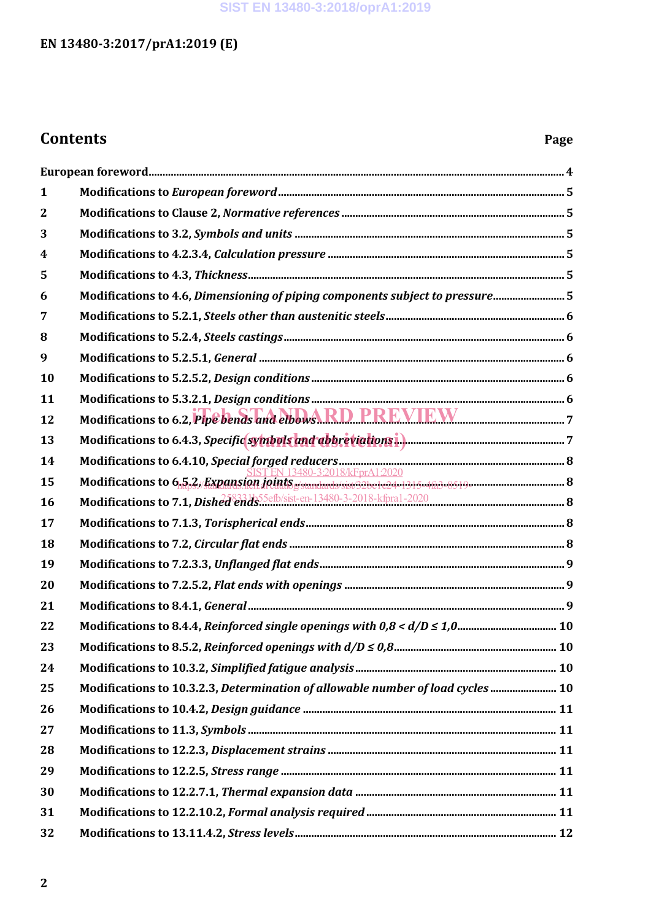#### **SIST EN 13480-3:2018/oprA1:2019**

### **EN 13480-3:2017/prA1:2019 (E)**

## **Contents Page**

| 1            |                                                                                 |  |
|--------------|---------------------------------------------------------------------------------|--|
| $\mathbf{2}$ |                                                                                 |  |
| 3            |                                                                                 |  |
| 4            |                                                                                 |  |
| 5            |                                                                                 |  |
| 6            | Modifications to 4.6, Dimensioning of piping components subject to pressure 5   |  |
| 7            |                                                                                 |  |
| 8            |                                                                                 |  |
| 9            |                                                                                 |  |
| 10           |                                                                                 |  |
| 11           |                                                                                 |  |
| 12           | Modifications to 6.2, Pipe bends and elbows RD PREVIEW                          |  |
| 13           |                                                                                 |  |
| 14           |                                                                                 |  |
| 15           |                                                                                 |  |
| 16           | Modifications to 7.1, Dished ends Settlesist-en-13480-3-2018-kfpral-2020        |  |
| 17           |                                                                                 |  |
| 18           |                                                                                 |  |
| 19           |                                                                                 |  |
| 20           |                                                                                 |  |
| 21           |                                                                                 |  |
| 22           |                                                                                 |  |
| 23           |                                                                                 |  |
| 24           |                                                                                 |  |
| 25           | Modifications to 10.3.2.3, Determination of allowable number of load cycles  10 |  |
| 26           |                                                                                 |  |
| 27           |                                                                                 |  |
| 28           |                                                                                 |  |
| 29           |                                                                                 |  |
| 30           |                                                                                 |  |
| 31           |                                                                                 |  |
| 32           |                                                                                 |  |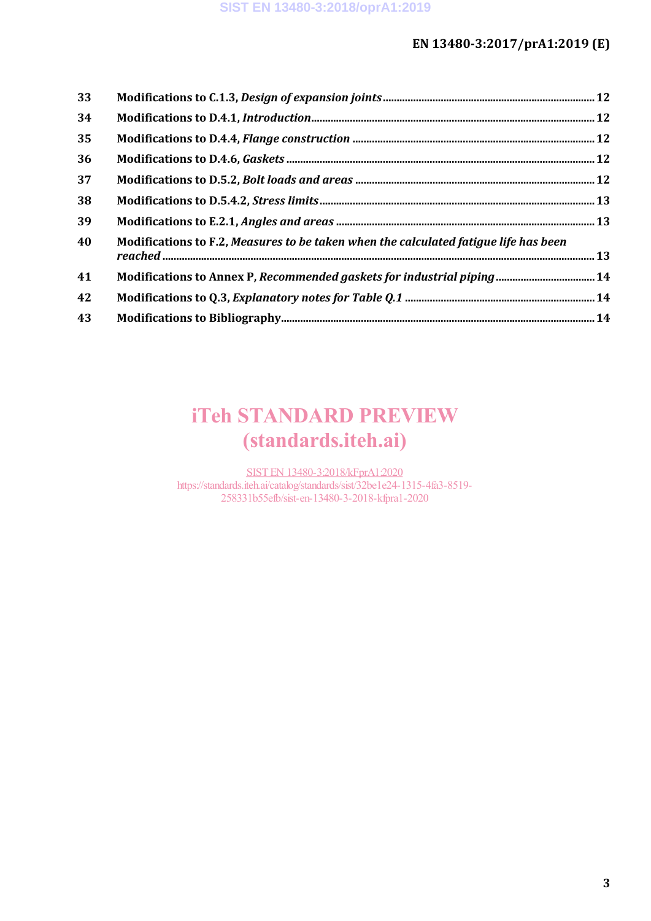#### **EN 13480-3:2017/prA1:2019 (E)**

| 33 |                                                                                      |  |
|----|--------------------------------------------------------------------------------------|--|
| 34 |                                                                                      |  |
| 35 |                                                                                      |  |
| 36 |                                                                                      |  |
| 37 |                                                                                      |  |
| 38 |                                                                                      |  |
| 39 |                                                                                      |  |
| 40 | Modifications to F.2, Measures to be taken when the calculated fatigue life has been |  |
| 41 |                                                                                      |  |
| 42 |                                                                                      |  |
| 43 |                                                                                      |  |

# iTeh STANDARD PREVIEW (standards.iteh.ai)

SIST EN 13480-3:2018/kFprA1:2020 https://standards.iteh.ai/catalog/standards/sist/32be1e24-1315-4fa3-8519- 258331b55efb/sist-en-13480-3-2018-kfpra1-2020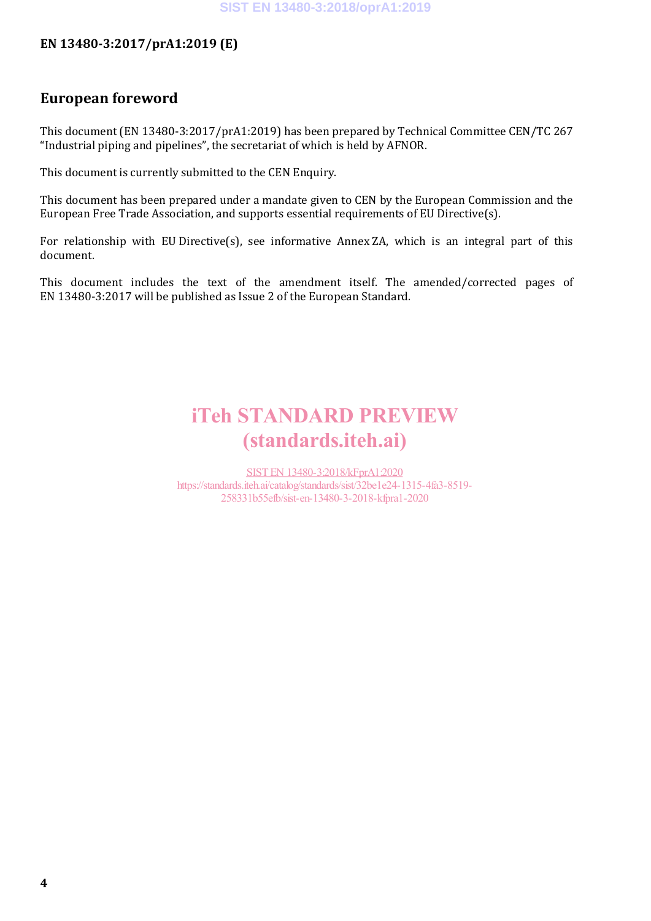#### **SIST EN 13480-3:2018/oprA1:2019**

#### **EN 13480-3:2017/prA1:2019 (E)**

#### **European foreword**

This document (EN 13480-3:2017/prA1:2019) has been prepared by Technical Committee CEN/TC 267 "Industrial piping and pipelines", the secretariat of which is held by AFNOR.

This document is currently submitted to the CEN Enquiry.

This document has been prepared under a mandate given to CEN by the European Commission and the European Free Trade Association, and supports essential requirements of EU Directive(s).

For relationship with EU Directive(s), see informative Annex ZA, which is an integral part of this document.

This document includes the text of the amendment itself. The amended/corrected pages of EN 13480-3:2017 will be published as Issue 2 of the European Standard.

# iTeh STANDARD PREVIEW (standards.iteh.ai)

SIST EN 13480-3:2018/kFprA1:2020 https://standards.iteh.ai/catalog/standards/sist/32be1e24-1315-4fa3-8519- 258331b55efb/sist-en-13480-3-2018-kfpra1-2020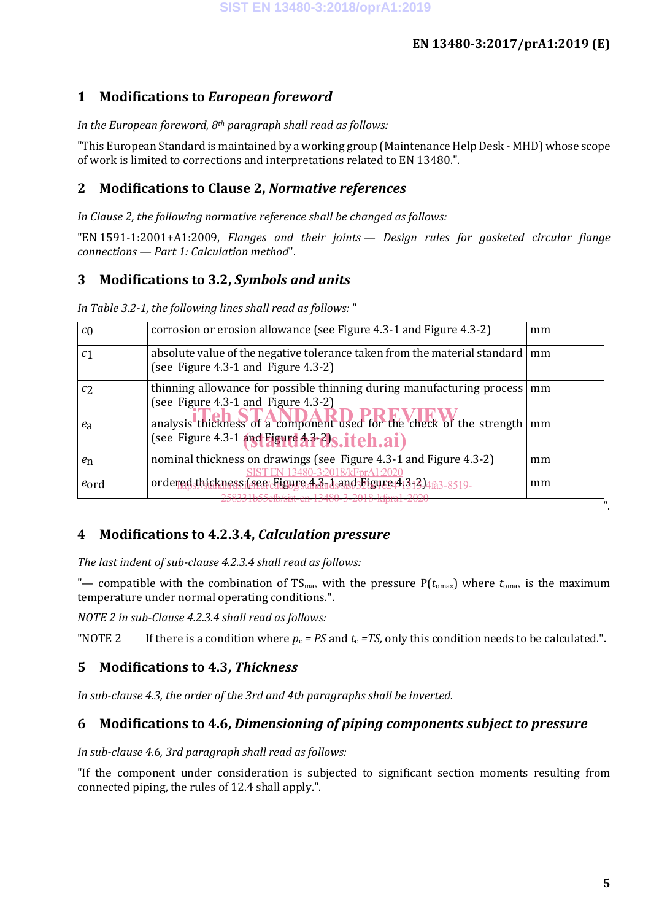#### **1 Modifications to** *European foreword*

#### *In the European foreword, 8th paragraph shall read as follows:*

"This European Standard is maintained by a working group (Maintenance Help Desk - MHD) whose scope of work is limited to corrections and interpretations related to EN 13480.".

#### **2 Modifications to Clause 2,** *Normative references*

*In Clause 2, the following normative reference shall be changed as follows:*

"EN 1591-1:2001+A1:2009, *Flanges and their joints — Design rules for gasketed circular flange connections — Part 1: Calculation method*".

#### **3 Modifications to 3.2,** *Symbols and units*

*In Table 3.2-1, the following lines shall read as follows:* "

| corrosion or erosion allowance (see Figure 4.3-1 and Figure 4.3-2)                                                     | mm |
|------------------------------------------------------------------------------------------------------------------------|----|
| absolute value of the negative tolerance taken from the material standard<br>(see Figure 4.3-1 and Figure 4.3-2)       | mm |
| thinning allowance for possible thinning during manufacturing process<br>(see Figure 4.3-1 and Figure 4.3-2)           | mm |
| analysis thickness of a component used for the check of the strength<br>(see Figure 4.3-1 and Figure 4.3-2)s. itch.ai) | mm |
| nominal thickness on drawings (see Figure 4.3-1 and Figure 4.3-2)                                                      | mm |
| ordered thickness (see Figure 4.3-1 and Figure 4.3-2) 463-8519-                                                        | mm |
|                                                                                                                        |    |

#### **4 Modifications to 4.2.3.4,** *Calculation pressure*

*The last indent of sub-clause 4.2.3.4 shall read as follows:*

"— compatible with the combination of  $TS_{max}$  with the pressure  $P(t_{max})$  where  $t_{max}$  is the maximum temperature under normal operating conditions.".

*NOTE 2 in sub-Clause 4.2.3.4 shall read as follows:*

"NOTE 2 If there is a condition where  $p_c = PS$  and  $t_c = TS$ , only this condition needs to be calculated.".

#### **5 Modifications to 4.3,** *Thickness*

*In sub-clause 4.3, the order of the 3rd and 4th paragraphs shall be inverted.*

#### **6 Modifications to 4.6,** *Dimensioning of piping components subject to pressure*

*In sub-clause 4.6, 3rd paragraph shall read as follows:*

"If the component under consideration is subjected to significant section moments resulting from connected piping, the rules of 12.4 shall apply.".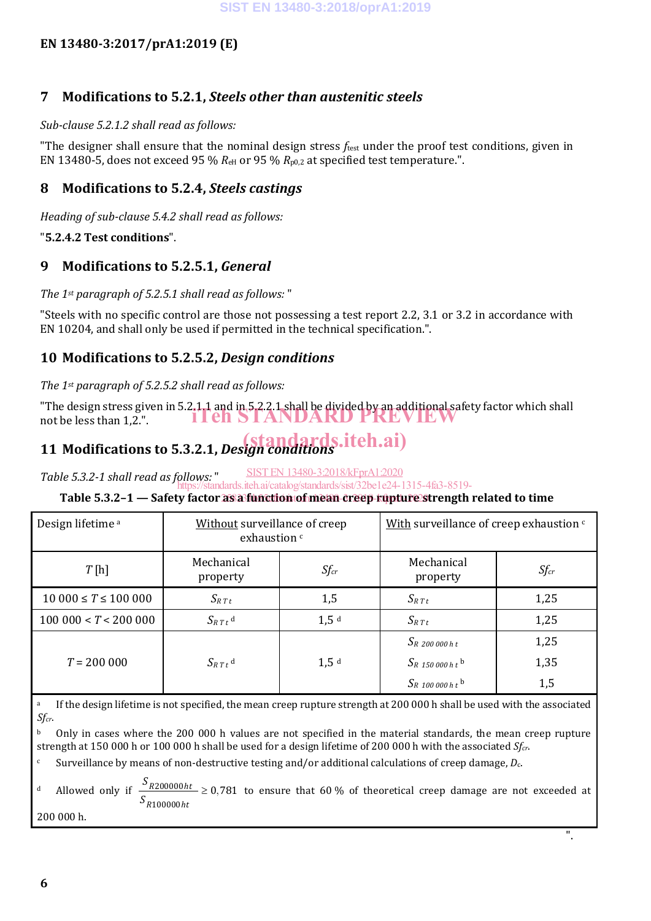#### **EN 13480-3:2017/prA1:2019 (E)**

#### **7 Modifications to 5.2.1,** *Steels other than austenitic steels*

#### *Sub-clause 5.2.1.2 shall read as follows:*

"The designer shall ensure that the nominal design stress *f*test under the proof test conditions, given in EN 13480-5, does not exceed 95 %  $R_{\text{eH}}$  or 95 %  $R_{\text{p0,2}}$  at specified test temperature.".

#### **8 Modifications to 5.2.4,** *Steels castings*

*Heading of sub-clause 5.4.2 shall read as follows:*

#### "**5.2.4.2 Test conditions**".

#### **9 Modifications to 5.2.5.1,** *General*

#### *The 1st paragraph of 5.2.5.1 shall read as follows:* "

"Steels with no specific control are those not possessing a test report 2.2, 3.1 or 3.2 in accordance with EN 10204, and shall only be used if permitted in the technical specification.".

#### **10 Modifications to 5.2.5.2,** *Design conditions*

#### *The 1st paragraph of 5.2.5.2 shall read as follows:*

"The design stress given in 5.2.1.1 and in 5.2.2.1 shall be divided by an additional safety factor which shall not be less than 1,2.". iTeh STANDARD PREVIEW

# **11 Modifications to 5.3.2.1,** *Design conditions* (standards.iteh.ai)

SIST EN 13480-3:2018/kFprA1:2020

*Table 5.3.2-1 shall read as follows:* " https://standards.iteh.ai/catalog/standards/sist/32be1e24-1315-4fa3-8519-

#### **Table 5.3.2-1 — Safety factor as a function of mean-creep-rupture strength related to time**

| Design lifetime <sup>a</sup>   | Without surveillance of creep<br>exhaustion <sup>c</sup> |                  | With surveillance of creep exhaustion $\epsilon$ |           |
|--------------------------------|----------------------------------------------------------|------------------|--------------------------------------------------|-----------|
| T[h]                           | Mechanical<br>property                                   | $Sf_{cr}$        | Mechanical<br>property                           | $Sf_{cr}$ |
| $10\,000 \leq T \leq 100\,000$ | $S_{R T t}$                                              | 1,5              | $S_{R\,T\,t}$                                    | 1,25      |
| 100000 < T < 200000            | $S_{R T t}$ <sup>d</sup>                                 | 1.5 <sup>d</sup> | $S_{R T t}$                                      | 1,25      |
|                                |                                                          |                  | $S_{R}$ 200 000 h t                              | 1,25      |
| $T = 200000$                   | $S_{R T t}$ <sup>d</sup>                                 | 1,5 <sup>d</sup> | $S_R$ 150 000 h t <sup>b</sup>                   | 1,35      |
|                                |                                                          |                  | $S_{R}$ 100 000 h t <sup>b</sup>                 | 1,5       |

<sup>a</sup> If the design lifetime is not specified, the mean creep rupture strength at 200 000 h shall be used with the associated *Sfcr*.

<sup>b</sup> Only in cases where the 200 000 h values are not specified in the material standards, the mean creep rupture strength at 150 000 h or 100 000 h shall be used for a design lifetime of 200 000 h with the associated *Sfcr*.

<sup>c</sup> Surveillance by means of non-destructive testing and/or additional calculations of creep damage,  $D_c$ .

<sup>d</sup> Allowed only if  $\frac{S_{R200000ht}}{S_{R200000} \ge 0.781}$  $S_{R100000ht}$ to ensure that 60 % of theoretical creep damage are not exceeded at

".

200 000 h.